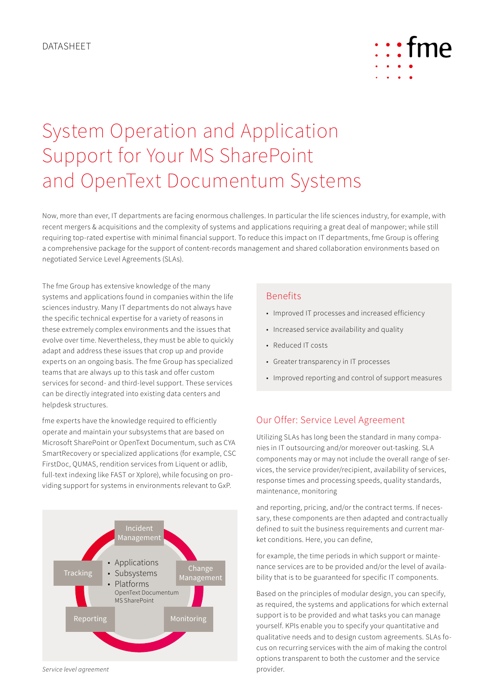

# System Operation and Application Support for Your MS SharePoint and OpenText Documentum Systems

Now, more than ever, IT departments are facing enormous challenges. In particular the life sciences industry, for example, with recent mergers & acquisitions and the complexity of systems and applications requiring a great deal of manpower; while still requiring top-rated expertise with minimal financial support. To reduce this impact on IT departments, fme Group is offering a comprehensive package for the support of content-records management and shared collaboration environments based on negotiated Service Level Agreements (SLAs).

The fme Group has extensive knowledge of the many systems and applications found in companies within the life sciences industry. Many IT departments do not always have the specific technical expertise for a variety of reasons in these extremely complex environments and the issues that evolve over time. Nevertheless, they must be able to quickly adapt and address these issues that crop up and provide experts on an ongoing basis. The fme Group has specialized teams that are always up to this task and offer custom services for second- and third-level support. These services can be directly integrated into existing data centers and helpdesk structures.

fme experts have the knowledge required to efficiently operate and maintain your subsystems that are based on Microsoft SharePoint or OpenText Documentum, such as CYA SmartRecovery or specialized applications (for example, CSC FirstDoc, QUMAS, rendition services from Liquent or adlib, full-text indexing like FAST or Xplore), while focusing on providing support for systems in environments relevant to GxP.



#### *Service level agreement*

#### Benefits

- Improved IT processes and increased efficiency
- Increased service availability and quality
- Reduced IT costs
- Greater transparency in IT processes
- Improved reporting and control of support measures

## Our Offer: Service Level Agreement

Utilizing SLAs has long been the standard in many companies in IT outsourcing and/or moreover out-tasking. SLA components may or may not include the overall range of services, the service provider/recipient, availability of services, response times and processing speeds, quality standards, maintenance, monitoring

and reporting, pricing, and/or the contract terms. If necessary, these components are then adapted and contractually defined to suit the business requirements and current market conditions. Here, you can define,

for example, the time periods in which support or maintenance services are to be provided and/or the level of availability that is to be guaranteed for specific IT components.

Based on the principles of modular design, you can specify, as required, the systems and applications for which external support is to be provided and what tasks you can manage yourself. KPIs enable you to specify your quantitative and qualitative needs and to design custom agreements. SLAs focus on recurring services with the aim of making the control options transparent to both the customer and the service provider.